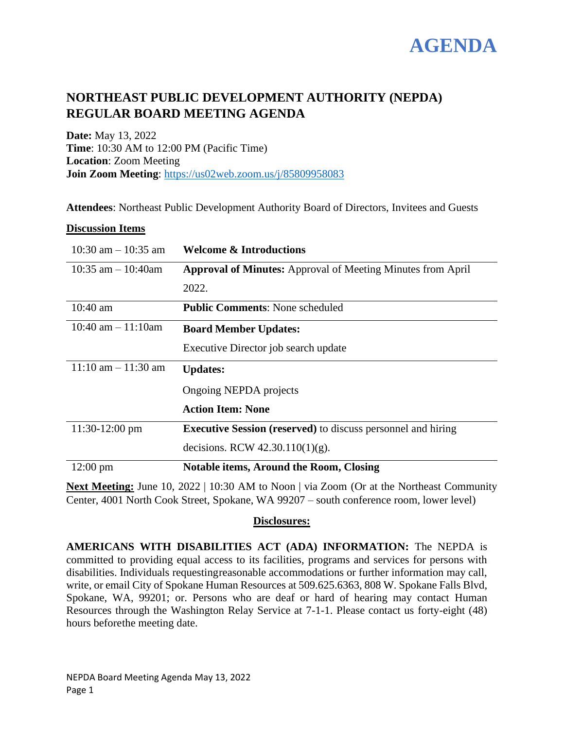

# **NORTHEAST PUBLIC DEVELOPMENT AUTHORITY (NEPDA) REGULAR BOARD MEETING AGENDA**

**Date:** May 13, 2022 **Time**: 10:30 AM to 12:00 PM (Pacific Time) **Location**: Zoom Meeting **Join Zoom Meeting**:<https://us02web.zoom.us/j/85809958083>

**Attendees**: Northeast Public Development Authority Board of Directors, Invitees and Guests

### **Discussion Items**

| $10:30$ am $-10:35$ am | <b>Welcome &amp; Introductions</b>                                  |
|------------------------|---------------------------------------------------------------------|
| 10:35 am $-$ 10:40am   | <b>Approval of Minutes:</b> Approval of Meeting Minutes from April  |
|                        | 2022.                                                               |
| $10:40$ am             | <b>Public Comments: None scheduled</b>                              |
| $10:40$ am $-11:10$ am | <b>Board Member Updates:</b>                                        |
|                        | Executive Director job search update                                |
| $11:10$ am $-11:30$ am | <b>Updates:</b>                                                     |
|                        | Ongoing NEPDA projects                                              |
|                        | <b>Action Item: None</b>                                            |
| $11:30-12:00$ pm       | <b>Executive Session (reserved)</b> to discuss personnel and hiring |
|                        | decisions. RCW $42.30.110(1)(g)$ .                                  |
| $12:00 \text{ pm}$     | <b>Notable items, Around the Room, Closing</b>                      |

**Next Meeting:** June 10, 2022 | 10:30 AM to Noon | via Zoom (Or at the Northeast Community Center, 4001 North Cook Street, Spokane, WA 99207 – south conference room, lower level)

## **Disclosures:**

**AMERICANS WITH DISABILITIES ACT (ADA) INFORMATION:** The NEPDA is committed to providing equal access to its facilities, programs and services for persons with disabilities. Individuals requestingreasonable accommodations or further information may call, write, or email City of Spokane Human Resources at 509.625.6363, 808 W. Spokane Falls Blvd, Spokane, WA, 99201; or. Persons who are deaf or hard of hearing may contact Human Resources through the Washington Relay Service at 7-1-1. Please contact us forty-eight (48) hours beforethe meeting date.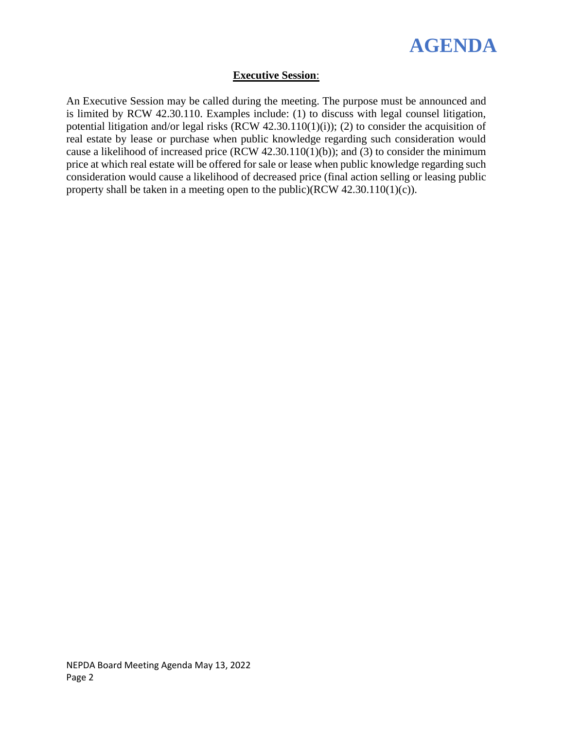

## **Executive Session**:

An Executive Session may be called during the meeting. The purpose must be announced and is limited by RCW 42.30.110. Examples include: (1) to discuss with legal counsel litigation, potential litigation and/or legal risks (RCW 42.30.110(1)(i)); (2) to consider the acquisition of real estate by lease or purchase when public knowledge regarding such consideration would cause a likelihood of increased price (RCW 42.30.110(1)(b)); and (3) to consider the minimum price at which real estate will be offered for sale or lease when public knowledge regarding such consideration would cause a likelihood of decreased price (final action selling or leasing public property shall be taken in a meeting open to the public)(RCW 42.30.110(1)(c)).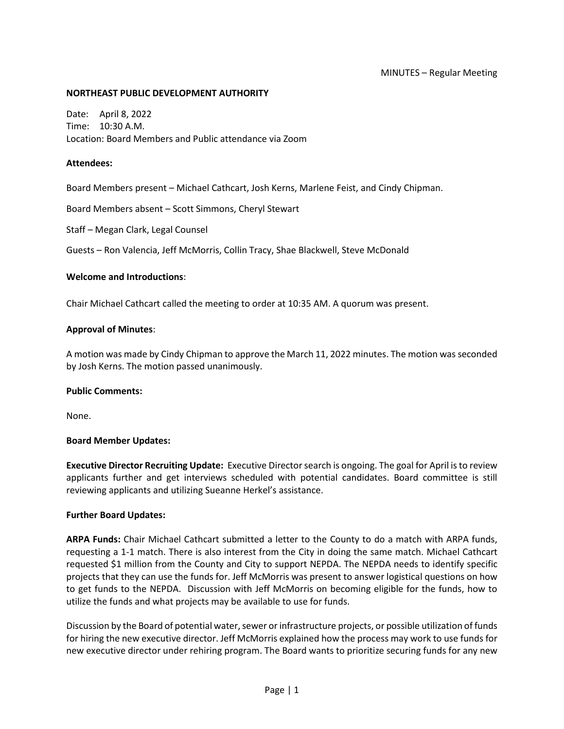#### MINUTES – Regular Meeting

#### **NORTHEAST PUBLIC DEVELOPMENT AUTHORITY**

Date: April 8, 2022 Time: 10:30 A.M. Location: Board Members and Public attendance via Zoom

#### **Attendees:**

Board Members present – Michael Cathcart, Josh Kerns, Marlene Feist, and Cindy Chipman.

Board Members absent – Scott Simmons, Cheryl Stewart

Staff – Megan Clark, Legal Counsel

Guests – Ron Valencia, Jeff McMorris, Collin Tracy, Shae Blackwell, Steve McDonald

#### **Welcome and Introductions**:

Chair Michael Cathcart called the meeting to order at 10:35 AM. A quorum was present.

#### **Approval of Minutes**:

A motion was made by Cindy Chipman to approve the March 11, 2022 minutes. The motion was seconded by Josh Kerns. The motion passed unanimously.

#### **Public Comments:**

None.

#### **Board Member Updates:**

**Executive Director Recruiting Update:** Executive Director search is ongoing. The goal for April is to review applicants further and get interviews scheduled with potential candidates. Board committee is still reviewing applicants and utilizing Sueanne Herkel's assistance.

#### **Further Board Updates:**

**ARPA Funds:** Chair Michael Cathcart submitted a letter to the County to do a match with ARPA funds, requesting a 1-1 match. There is also interest from the City in doing the same match. Michael Cathcart requested \$1 million from the County and City to support NEPDA. The NEPDA needs to identify specific projects that they can use the funds for. Jeff McMorris was present to answer logistical questions on how to get funds to the NEPDA. Discussion with Jeff McMorris on becoming eligible for the funds, how to utilize the funds and what projects may be available to use for funds.

Discussion by the Board of potential water, sewer or infrastructure projects, or possible utilization of funds for hiring the new executive director. Jeff McMorris explained how the process may work to use funds for new executive director under rehiring program. The Board wants to prioritize securing funds for any new